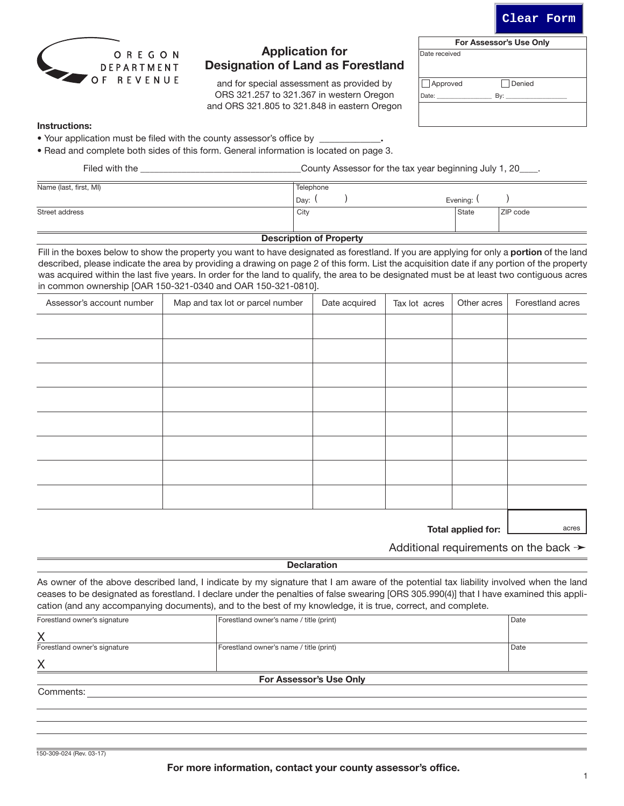For more information, contact your county assessor's office.

acres

**Clear Form**

| Date received |        |  |
|---------------|--------|--|
|               |        |  |
| Approved      | Denied |  |

and for special assessment as provided by ORS 321.257 to 321.367 in western Oregon and ORS 321.805 to 321.848 in eastern Oregon

Application for Designation of Land as Forestland

# Instructions:

- Your application must be filed with the county assessor's office by
- Read and complete both sides of this form. General information is located on page 3.

| County Assessor for the tax year beginning July 1, 20____. |                                        |  |  |  |
|------------------------------------------------------------|----------------------------------------|--|--|--|
| Telephone                                                  |                                        |  |  |  |
|                                                            |                                        |  |  |  |
| Dav:<br>City                                               | Evening: \<br><b>ZIP</b> code<br>State |  |  |  |

# Description of Property

Fill in the boxes below to show the property you want to have designated as forestland. If you are applying for only a portion of the land described, please indicate the area by providing a drawing on page 2 of this form. List the acquisition date if any portion of the property was acquired within the last five years. In order for the land to qualify, the area to be designated must be at least two contiguous acres in common ownership [OAR 150-321-0340 and OAR 150-321-0810].

| Assessor's account number | Map and tax lot or parcel number | Date acquired | Tax lot acres | Other acres | Forestland acres |
|---------------------------|----------------------------------|---------------|---------------|-------------|------------------|
|                           |                                  |               |               |             |                  |
|                           |                                  |               |               |             |                  |
|                           |                                  |               |               |             |                  |
|                           |                                  |               |               |             |                  |
|                           |                                  |               |               |             |                  |
|                           |                                  |               |               |             |                  |
|                           |                                  |               |               |             |                  |
|                           |                                  |               |               |             |                  |

Total applied for:

Additional requirements on the back  $\rightarrow$ 

#### **Declaration**

As owner of the above described land, I indicate by my signature that I am aware of the potential tax liability involved when the land ceases to be designated as forestland. I declare under the penalties of false swearing [ORS 305.990(4)] that I have examined this application (and any accompanying documents), and to the best of my knowledge, it is true, correct, and complete.

| Comments:                      |                                         |      |  |  |  |
|--------------------------------|-----------------------------------------|------|--|--|--|
| <b>For Assessor's Use Only</b> |                                         |      |  |  |  |
| X                              |                                         |      |  |  |  |
| Forestland owner's signature   | Forestland owner's name / title (print) | Date |  |  |  |
| X                              |                                         |      |  |  |  |
| Forestland owner's signature   | Forestland owner's name / title (print) | Date |  |  |  |

150-309-024 (Rev. 03-17)



For Assessor's Use Only

Date: \_\_\_\_\_\_\_\_\_\_\_\_\_\_\_\_\_\_ By: \_\_\_\_\_\_\_\_\_\_\_\_\_\_\_\_\_\_\_\_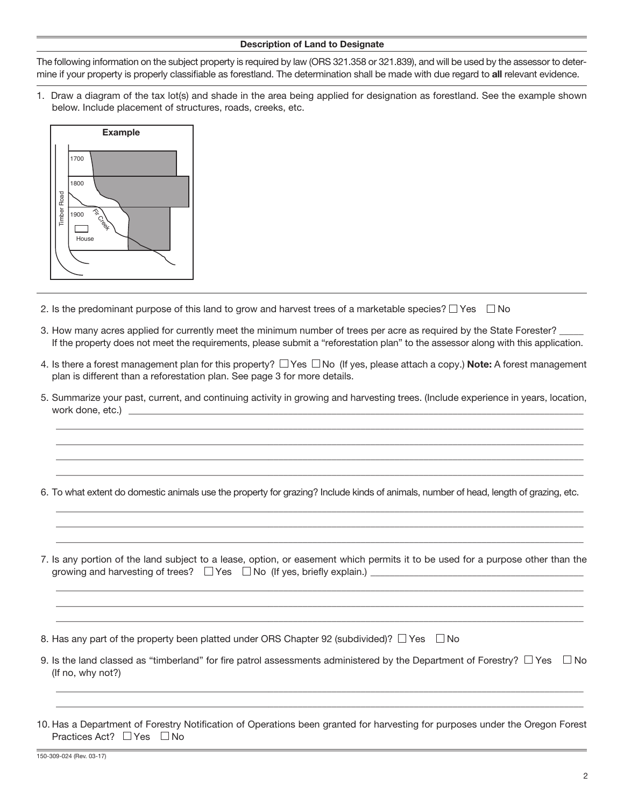### Description of Land to Designate

The following information on the subject property is required by law (ORS 321.358 or 321.839), and will be used by the assessor to determine if your property is properly classifiable as forestland. The determination shall be made with due regard to all relevant evidence.

1. Draw a diagram of the tax lot(s) and shade in the area being applied for designation as forestland. See the example shown below. Include placement of structures, roads, creeks, etc.



- 2. Is the predominant purpose of this land to grow and harvest trees of a marketable species?  $\Box$  Yes  $\Box$  No
- 3. How many acres applied for currently meet the minimum number of trees per acre as required by the State Forester? If the property does not meet the requirements, please submit a "reforestation plan" to the assessor along with this application.
- 4. Is there a forest management plan for this property?  $\Box$  Yes  $\Box$  No (If yes, please attach a copy.) **Note:** A forest management plan is different than a reforestation plan. See page 3 for more details.
- 5. Summarize your past, current, and continuing activity in growing and harvesting trees. (Include experience in years, location, work done, etc.)

 $\overline{\phantom{a}}$  ,  $\overline{\phantom{a}}$  ,  $\overline{\phantom{a}}$  ,  $\overline{\phantom{a}}$  ,  $\overline{\phantom{a}}$  ,  $\overline{\phantom{a}}$  ,  $\overline{\phantom{a}}$  ,  $\overline{\phantom{a}}$  ,  $\overline{\phantom{a}}$  ,  $\overline{\phantom{a}}$  ,  $\overline{\phantom{a}}$  ,  $\overline{\phantom{a}}$  ,  $\overline{\phantom{a}}$  ,  $\overline{\phantom{a}}$  ,  $\overline{\phantom{a}}$  ,  $\overline{\phantom{a}}$  $\overline{\phantom{a}}$  ,  $\overline{\phantom{a}}$  ,  $\overline{\phantom{a}}$  ,  $\overline{\phantom{a}}$  ,  $\overline{\phantom{a}}$  ,  $\overline{\phantom{a}}$  ,  $\overline{\phantom{a}}$  ,  $\overline{\phantom{a}}$  ,  $\overline{\phantom{a}}$  ,  $\overline{\phantom{a}}$  ,  $\overline{\phantom{a}}$  ,  $\overline{\phantom{a}}$  ,  $\overline{\phantom{a}}$  ,  $\overline{\phantom{a}}$  ,  $\overline{\phantom{a}}$  ,  $\overline{\phantom{a}}$  $\overline{\phantom{a}}$  ,  $\overline{\phantom{a}}$  ,  $\overline{\phantom{a}}$  ,  $\overline{\phantom{a}}$  ,  $\overline{\phantom{a}}$  ,  $\overline{\phantom{a}}$  ,  $\overline{\phantom{a}}$  ,  $\overline{\phantom{a}}$  ,  $\overline{\phantom{a}}$  ,  $\overline{\phantom{a}}$  ,  $\overline{\phantom{a}}$  ,  $\overline{\phantom{a}}$  ,  $\overline{\phantom{a}}$  ,  $\overline{\phantom{a}}$  ,  $\overline{\phantom{a}}$  ,  $\overline{\phantom{a}}$  $\overline{\phantom{a}}$  ,  $\overline{\phantom{a}}$  ,  $\overline{\phantom{a}}$  ,  $\overline{\phantom{a}}$  ,  $\overline{\phantom{a}}$  ,  $\overline{\phantom{a}}$  ,  $\overline{\phantom{a}}$  ,  $\overline{\phantom{a}}$  ,  $\overline{\phantom{a}}$  ,  $\overline{\phantom{a}}$  ,  $\overline{\phantom{a}}$  ,  $\overline{\phantom{a}}$  ,  $\overline{\phantom{a}}$  ,  $\overline{\phantom{a}}$  ,  $\overline{\phantom{a}}$  ,  $\overline{\phantom{a}}$ 

6. To what extent do domestic animals use the property for grazing? Include kinds of animals, number of head, length of grazing, etc.  $\overline{\phantom{a}}$  ,  $\overline{\phantom{a}}$  ,  $\overline{\phantom{a}}$  ,  $\overline{\phantom{a}}$  ,  $\overline{\phantom{a}}$  ,  $\overline{\phantom{a}}$  ,  $\overline{\phantom{a}}$  ,  $\overline{\phantom{a}}$  ,  $\overline{\phantom{a}}$  ,  $\overline{\phantom{a}}$  ,  $\overline{\phantom{a}}$  ,  $\overline{\phantom{a}}$  ,  $\overline{\phantom{a}}$  ,  $\overline{\phantom{a}}$  ,  $\overline{\phantom{a}}$  ,  $\overline{\phantom{a}}$ 

 $\overline{\phantom{a}}$  ,  $\overline{\phantom{a}}$  ,  $\overline{\phantom{a}}$  ,  $\overline{\phantom{a}}$  ,  $\overline{\phantom{a}}$  ,  $\overline{\phantom{a}}$  ,  $\overline{\phantom{a}}$  ,  $\overline{\phantom{a}}$  ,  $\overline{\phantom{a}}$  ,  $\overline{\phantom{a}}$  ,  $\overline{\phantom{a}}$  ,  $\overline{\phantom{a}}$  ,  $\overline{\phantom{a}}$  ,  $\overline{\phantom{a}}$  ,  $\overline{\phantom{a}}$  ,  $\overline{\phantom{a}}$  $\overline{\phantom{a}}$  ,  $\overline{\phantom{a}}$  ,  $\overline{\phantom{a}}$  ,  $\overline{\phantom{a}}$  ,  $\overline{\phantom{a}}$  ,  $\overline{\phantom{a}}$  ,  $\overline{\phantom{a}}$  ,  $\overline{\phantom{a}}$  ,  $\overline{\phantom{a}}$  ,  $\overline{\phantom{a}}$  ,  $\overline{\phantom{a}}$  ,  $\overline{\phantom{a}}$  ,  $\overline{\phantom{a}}$  ,  $\overline{\phantom{a}}$  ,  $\overline{\phantom{a}}$  ,  $\overline{\phantom{a}}$ 

7. Is any portion of the land subject to a lease, option, or easement which permits it to be used for a purpose other than the growing and harvesting of trees?  $\Box$  Yes  $\Box$  No (If yes, briefly explain.)  $\Box$ 

 $\overline{\phantom{a}}$  ,  $\overline{\phantom{a}}$  ,  $\overline{\phantom{a}}$  ,  $\overline{\phantom{a}}$  ,  $\overline{\phantom{a}}$  ,  $\overline{\phantom{a}}$  ,  $\overline{\phantom{a}}$  ,  $\overline{\phantom{a}}$  ,  $\overline{\phantom{a}}$  ,  $\overline{\phantom{a}}$  ,  $\overline{\phantom{a}}$  ,  $\overline{\phantom{a}}$  ,  $\overline{\phantom{a}}$  ,  $\overline{\phantom{a}}$  ,  $\overline{\phantom{a}}$  ,  $\overline{\phantom{a}}$  $\overline{\phantom{a}}$  ,  $\overline{\phantom{a}}$  ,  $\overline{\phantom{a}}$  ,  $\overline{\phantom{a}}$  ,  $\overline{\phantom{a}}$  ,  $\overline{\phantom{a}}$  ,  $\overline{\phantom{a}}$  ,  $\overline{\phantom{a}}$  ,  $\overline{\phantom{a}}$  ,  $\overline{\phantom{a}}$  ,  $\overline{\phantom{a}}$  ,  $\overline{\phantom{a}}$  ,  $\overline{\phantom{a}}$  ,  $\overline{\phantom{a}}$  ,  $\overline{\phantom{a}}$  ,  $\overline{\phantom{a}}$  $\overline{\phantom{a}}$  ,  $\overline{\phantom{a}}$  ,  $\overline{\phantom{a}}$  ,  $\overline{\phantom{a}}$  ,  $\overline{\phantom{a}}$  ,  $\overline{\phantom{a}}$  ,  $\overline{\phantom{a}}$  ,  $\overline{\phantom{a}}$  ,  $\overline{\phantom{a}}$  ,  $\overline{\phantom{a}}$  ,  $\overline{\phantom{a}}$  ,  $\overline{\phantom{a}}$  ,  $\overline{\phantom{a}}$  ,  $\overline{\phantom{a}}$  ,  $\overline{\phantom{a}}$  ,  $\overline{\phantom{a}}$ 

8. Has any part of the property been platted under ORS Chapter 92 (subdivided)?  $\Box$  Yes  $\Box$  No

9. Is the land classed as "timberland" for fire patrol assessments administered by the Department of Forestry?  $\Box$  Yes  $\Box$  No (If no, why not?)

 $\overline{\phantom{a}}$  ,  $\overline{\phantom{a}}$  ,  $\overline{\phantom{a}}$  ,  $\overline{\phantom{a}}$  ,  $\overline{\phantom{a}}$  ,  $\overline{\phantom{a}}$  ,  $\overline{\phantom{a}}$  ,  $\overline{\phantom{a}}$  ,  $\overline{\phantom{a}}$  ,  $\overline{\phantom{a}}$  ,  $\overline{\phantom{a}}$  ,  $\overline{\phantom{a}}$  ,  $\overline{\phantom{a}}$  ,  $\overline{\phantom{a}}$  ,  $\overline{\phantom{a}}$  ,  $\overline{\phantom{a}}$  $\overline{\phantom{a}}$  ,  $\overline{\phantom{a}}$  ,  $\overline{\phantom{a}}$  ,  $\overline{\phantom{a}}$  ,  $\overline{\phantom{a}}$  ,  $\overline{\phantom{a}}$  ,  $\overline{\phantom{a}}$  ,  $\overline{\phantom{a}}$  ,  $\overline{\phantom{a}}$  ,  $\overline{\phantom{a}}$  ,  $\overline{\phantom{a}}$  ,  $\overline{\phantom{a}}$  ,  $\overline{\phantom{a}}$  ,  $\overline{\phantom{a}}$  ,  $\overline{\phantom{a}}$  ,  $\overline{\phantom{a}}$ 

<sup>10.</sup> Has a Department of Forestry Notification of Operations been granted for harvesting for purposes under the Oregon Forest Practices Act?  $\Box$  Yes  $\Box$  No